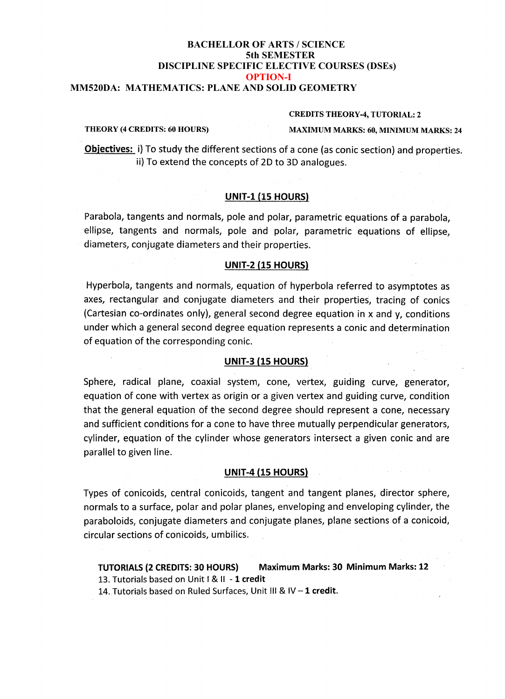# **BUMESTER**<br>DISCIPLINE SPECIFIC ELECTIVE COURSES (DSEs) **OPTION-I**<br> **COPTION-1**<br> **COLUMNATION-I BACHELLOR OF ARTS / SCIENCE 5th SEMESTER MM520DA: MATHEMATICS: PLANE AND SOLID GEOMETRY**

#### **MMS19DA: PLANE AND SOLID GEOMETRY CREDITS THEORY-4, TUTORIAL: <sup>2</sup>**

**THEORY (4 CREDITS: <sup>60</sup> HOURS) MAXIMUM MARKS: 60, MINIMUM MARKS: <sup>24</sup>**

**Objectives:** i) To study the different sections of a cone (as conic section) and properties. ii) To extend the concepts of 2D to 3D analogues.

## **UNIT-1 (15 HOURS)**

Parabola, tangents and normals, pole and polar, parametric equations of a parabola, ellipse, tangents and normals, pole and polar, parametric equations of ellipse, diameters, conjugate diameters and their properties.

### **UNIT-2 (15 HOURS)**

Hyperbola, tangents and normals, equation of hyperbola referred to asymptotes as axes, rectangular and conjugate diameters and their properties, tracing of conics (Cartesian co-ordinates only), general second degree equation in  $x$  and  $y$ , conditions under which a general second degree equation represents a conic and determination of equation of the corresponding conic.

# **UNIT-3 (15 HOURS)**

Sphere, radical plane, coaxial system, cone, vertex, guiding curve, generator, equation of cone with vertex as origin or a given vertex and guiding curve, condition that the general equation of the second degree should represent a cone, necessary and sufficient conditions for a cone to have three mutually perpendicular generators, cylinder, equation of the cylinder whose generators intersect a given conic and are parallel to given line.

# **UNIT-4 (15 HOURS)**

Types of conicoids, central conicoids, tangent and tangent planes, director sphere, normals to a surface, polar and polar planes, enveloping and enveloping cylinder, the<br>paraboloids, conjugate diameters and conjugate planes, plane sections of a conicoid,<br>circular sections of conicoids, umbilics.<br>TUTORIALS paraboloids, conjugate diameters and conjugate planes, plane sections of a conicoid, circular sections of conicoids, umbilics.

# **TUTORIALS (2 CREDITS: 30 HOURS)** Maximum Marks: 30 Minimum Marks: 12 Minimum Marks: 12

14. Tutorials based on Ruled Surfaces, Unit III & IV - 1 credit.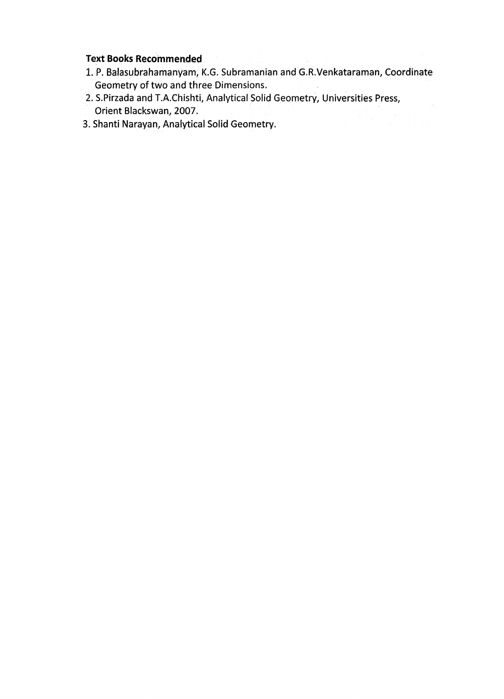# **Text Books Recommended**

- 1. P, Balasubrahamanyam, K.G. Subramanian and G.R.Venkataraman, Coordinate Geometry of two and three Dimensions.
- 2. S.Pirzada and T.A.Chishti, Analytical Solid Geometry, Universities Press, Orient Blackswan, 2007.
- 3. Shanti Narayan, Analytical Solid Geometry.